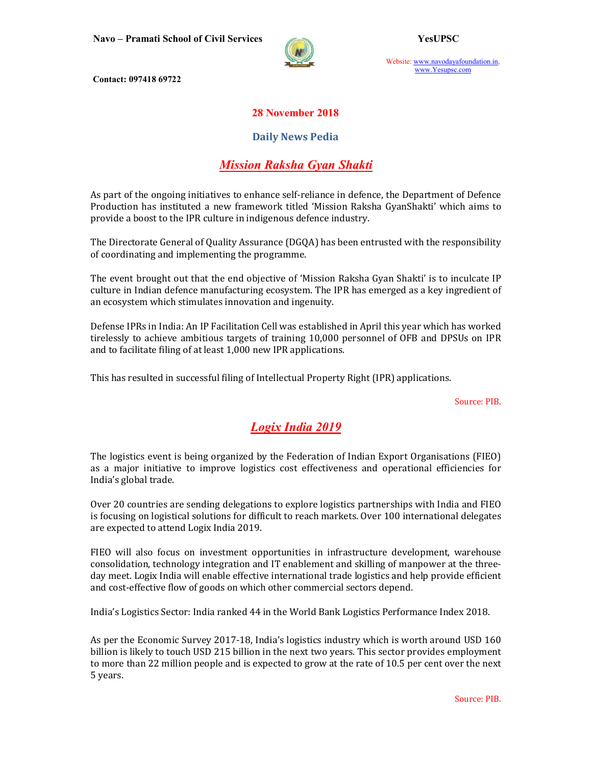

Website: www.navodayafoundation.in, www.Yesupsc.com

Contact: 097418 69722

#### 28 November 2018

#### Daily News Pedia

### Mission Raksha Gyan Shakti

As part of the ongoing initiatives to enhance self-reliance in defence, the Department of Defence Production has instituted a new framework titled 'Mission Raksha GyanShakti' which aims to provide a boost to the IPR culture in indigenous defence industry.

The Directorate General of Quality Assurance (DGQA) has been entrusted with the responsibility of coordinating and implementing the programme.

The event brought out that the end objective of 'Mission Raksha Gyan Shakti' is to inculcate IP culture in Indian defence manufacturing ecosystem. The IPR has emerged as a key ingredient of an ecosystem which stimulates innovation and ingenuity.

Defense IPRs in India: An IP Facilitation Cell was established in April this year which has worked tirelessly to achieve ambitious targets of training 10,000 personnel of OFB and DPSUs on IPR and to facilitate filing of at least 1,000 new IPR applications.

This has resulted in successful filing of Intellectual Property Right (IPR) applications.

Source: PIB.

### Logix India 2019

The logistics event is being organized by the Federation of Indian Export Organisations (FIEO) as a major initiative to improve logistics cost effectiveness and operational efficiencies for India's global trade.

Over 20 countries are sending delegations to explore logistics partnerships with India and FIEO is focusing on logistical solutions for difficult to reach markets. Over 100 international delegates are expected to attend Logix India 2019.

FIEO will also focus on investment opportunities in infrastructure development, warehouse consolidation, technology integration and IT enablement and skilling of manpower at the threeday meet. Logix India will enable effective international trade logistics and help provide efficient and cost-effective flow of goods on which other commercial sectors depend.

India's Logistics Sector: India ranked 44 in the World Bank Logistics Performance Index 2018.

As per the Economic Survey 2017-18, India's logistics industry which is worth around USD 160 billion is likely to touch USD 215 billion in the next two years. This sector provides employment to more than 22 million people and is expected to grow at the rate of 10.5 per cent over the next 5 years.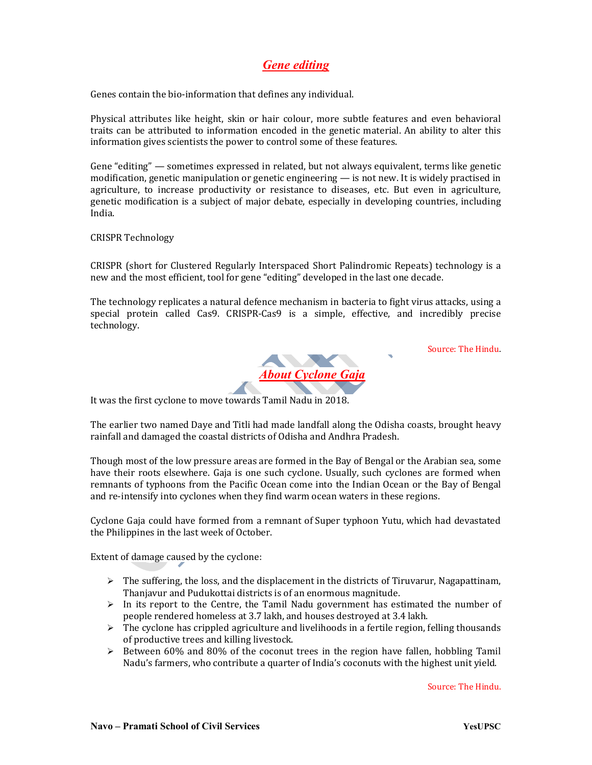# Gene editing

Genes contain the bio-information that defines any individual.

Physical attributes like height, skin or hair colour, more subtle features and even behavioral traits can be attributed to information encoded in the genetic material. An ability to alter this information gives scientists the power to control some of these features.

Gene "editing" — sometimes expressed in related, but not always equivalent, terms like genetic modification, genetic manipulation or genetic engineering — is not new. It is widely practised in agriculture, to increase productivity or resistance to diseases, etc. But even in agriculture, genetic modification is a subject of major debate, especially in developing countries, including India.

CRISPR Technology

CRISPR (short for Clustered Regularly Interspaced Short Palindromic Repeats) technology is a new and the most efficient, tool for gene "editing" developed in the last one decade.

The technology replicates a natural defence mechanism in bacteria to fight virus attacks, using a special protein called Cas9. CRISPR-Cas9 is a simple, effective, and incredibly precise technology.

About Cyclone Gaja

Source: The Hindu.

It was the first cyclone to move towards Tamil Nadu in 2018.

The earlier two named Daye and Titli had made landfall along the Odisha coasts, brought heavy rainfall and damaged the coastal districts of Odisha and Andhra Pradesh.

Though most of the low pressure areas are formed in the Bay of Bengal or the Arabian sea, some have their roots elsewhere. Gaja is one such cyclone. Usually, such cyclones are formed when remnants of typhoons from the Pacific Ocean come into the Indian Ocean or the Bay of Bengal and re-intensify into cyclones when they find warm ocean waters in these regions.

Cyclone Gaja could have formed from a remnant of Super typhoon Yutu, which had devastated the Philippines in the last week of October.

Extent of damage caused by the cyclone:

- $\triangleright$  The suffering, the loss, and the displacement in the districts of Tiruvarur, Nagapattinam, Thanjavur and Pudukottai districts is of an enormous magnitude.
- $\triangleright$  In its report to the Centre, the Tamil Nadu government has estimated the number of people rendered homeless at 3.7 lakh, and houses destroyed at 3.4 lakh.
- $\triangleright$  The cyclone has crippled agriculture and livelihoods in a fertile region, felling thousands of productive trees and killing livestock.
- $\geq$  Between 60% and 80% of the coconut trees in the region have fallen, hobbling Tamil Nadu's farmers, who contribute a quarter of India's coconuts with the highest unit yield.

Source: The Hindu.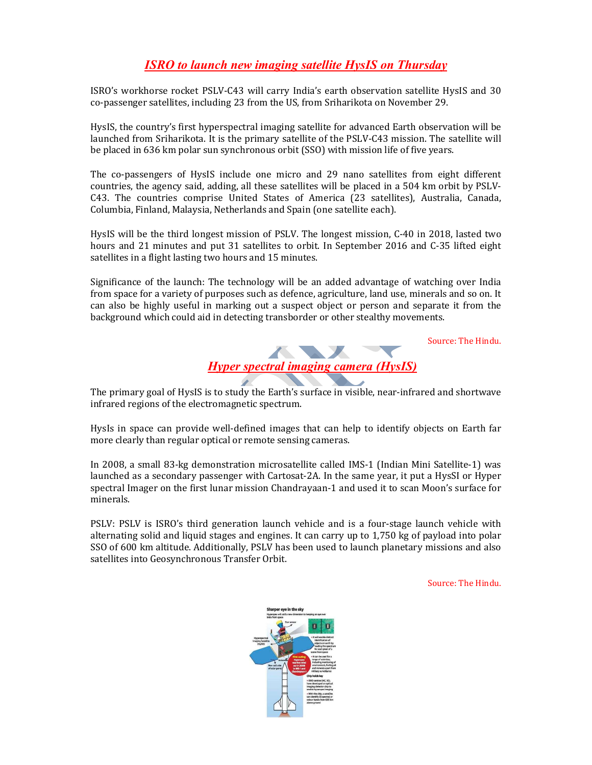## ISRO to launch new imaging satellite HysIS on Thursday

ISRO's workhorse rocket PSLV-C43 will carry India's earth observation satellite HysIS and 30 co-passenger satellites, including 23 from the US, from Sriharikota on November 29.

HysIS, the country's first hyperspectral imaging satellite for advanced Earth observation will be launched from Sriharikota. It is the primary satellite of the PSLV-C43 mission. The satellite will be placed in 636 km polar sun synchronous orbit (SSO) with mission life of five years.

The co-passengers of HysIS include one micro and 29 nano satellites from eight different countries, the agency said, adding, all these satellites will be placed in a 504 km orbit by PSLV-C43. The countries comprise United States of America (23 satellites), Australia, Canada, Columbia, Finland, Malaysia, Netherlands and Spain (one satellite each).

HysIS will be the third longest mission of PSLV. The longest mission, C-40 in 2018, lasted two hours and 21 minutes and put 31 satellites to orbit. In September 2016 and C-35 lifted eight satellites in a flight lasting two hours and 15 minutes.

Significance of the launch: The technology will be an added advantage of watching over India from space for a variety of purposes such as defence, agriculture, land use, minerals and so on. It can also be highly useful in marking out a suspect object or person and separate it from the background which could aid in detecting transborder or other stealthy movements.

Source: The Hindu.



The primary goal of HysIS is to study the Earth's surface in visible, near-infrared and shortwave infrared regions of the electromagnetic spectrum.

HysIs in space can provide well-defined images that can help to identify objects on Earth far more clearly than regular optical or remote sensing cameras.

In 2008, a small 83-kg demonstration microsatellite called IMS-1 (Indian Mini Satellite-1) was launched as a secondary passenger with Cartosat-2A. In the same year, it put a HysSI or Hyper spectral Imager on the first lunar mission Chandrayaan-1 and used it to scan Moon's surface for minerals.

PSLV: PSLV is ISRO's third generation launch vehicle and is a four-stage launch vehicle with alternating solid and liquid stages and engines. It can carry up to 1,750 kg of payload into polar SSO of 600 km altitude. Additionally, PSLV has been used to launch planetary missions and also satellites into Geosynchronous Transfer Orbit.

Source: The Hindu.

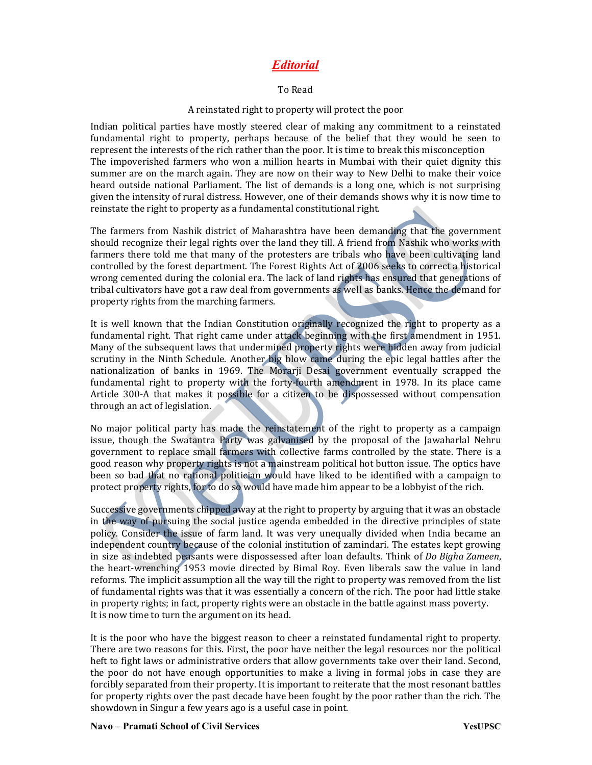### **Editorial**

#### To Read

#### A reinstated right to property will protect the poor

Indian political parties have mostly steered clear of making any commitment to a reinstated fundamental right to property, perhaps because of the belief that they would be seen to represent the interests of the rich rather than the poor. It is time to break this misconception The impoverished farmers who won a million hearts in Mumbai with their quiet dignity this summer are on the march again. They are now on their way to New Delhi to make their voice heard outside national Parliament. The list of demands is a long one, which is not surprising given the intensity of rural distress. However, one of their demands shows why it is now time to reinstate the right to property as a fundamental constitutional right.

The farmers from Nashik district of Maharashtra have been demanding that the government should recognize their legal rights over the land they till. A friend from Nashik who works with farmers there told me that many of the protesters are tribals who have been cultivating land controlled by the forest department. The Forest Rights Act of 2006 seeks to correct a historical wrong cemented during the colonial era. The lack of land rights has ensured that generations of tribal cultivators have got a raw deal from governments as well as banks. Hence the demand for property rights from the marching farmers.

It is well known that the Indian Constitution originally recognized the right to property as a fundamental right. That right came under attack beginning with the first amendment in 1951. Many of the subsequent laws that undermined property rights were hidden away from judicial scrutiny in the Ninth Schedule. Another big blow came during the epic legal battles after the nationalization of banks in 1969. The Morarji Desai government eventually scrapped the fundamental right to property with the forty-fourth amendment in 1978. In its place came Article 300-A that makes it possible for a citizen to be dispossessed without compensation through an act of legislation.

No major political party has made the reinstatement of the right to property as a campaign issue, though the Swatantra Party was galvanised by the proposal of the Jawaharlal Nehru government to replace small farmers with collective farms controlled by the state. There is a good reason why property rights is not a mainstream political hot button issue. The optics have been so bad that no rational politician would have liked to be identified with a campaign to protect property rights, for to do so would have made him appear to be a lobbyist of the rich.

Successive governments chipped away at the right to property by arguing that it was an obstacle in the way of pursuing the social justice agenda embedded in the directive principles of state policy. Consider the issue of farm land. It was very unequally divided when India became an independent country because of the colonial institution of zamindari. The estates kept growing in size as indebted peasants were dispossessed after loan defaults. Think of *Do Bigha Zameen*, the heart-wrenching 1953 movie directed by Bimal Roy. Even liberals saw the value in land reforms. The implicit assumption all the way till the right to property was removed from the list of fundamental rights was that it was essentially a concern of the rich. The poor had little stake in property rights; in fact, property rights were an obstacle in the battle against mass poverty. It is now time to turn the argument on its head.

It is the poor who have the biggest reason to cheer a reinstated fundamental right to property. There are two reasons for this. First, the poor have neither the legal resources nor the political heft to fight laws or administrative orders that allow governments take over their land. Second, the poor do not have enough opportunities to make a living in formal jobs in case they are forcibly separated from their property. It is important to reiterate that the most resonant battles for property rights over the past decade have been fought by the poor rather than the rich. The showdown in Singur a few years ago is a useful case in point.